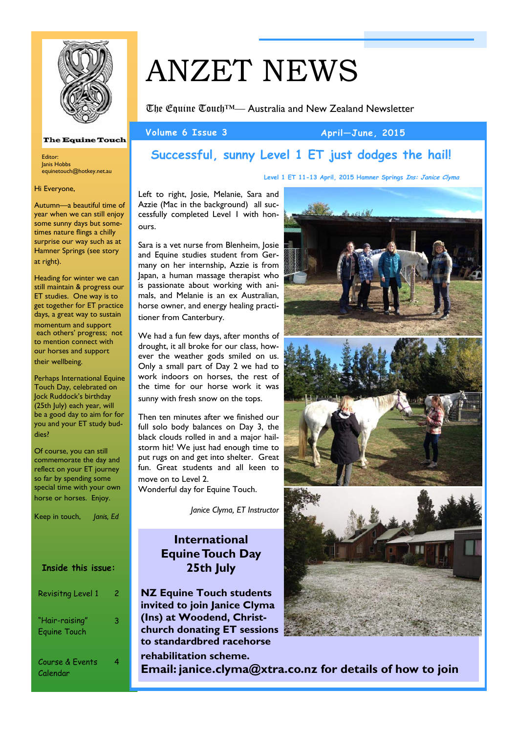

#### **The Equine Touch**

Editor: Janis Hobbs equinetouch@hotkey.net.au

Hi Everyone,

Autumn—a beautiful time of year when we can still enjoy some sunny days but sometimes nature flings a chilly surprise our way such as at Hamner Springs (see story at right).

Heading for winter we can still maintain & progress our ET studies. One way is to get together for ET practice days, a great way to sustain momentum and support each others' progress; not to mention connect with our horses and support their wellbeing.

Perhaps International Equine Touch Day, celebrated on Jock Ruddock's birthday (25th July) each year, will be a good day to aim for for you and your ET study buddies?

Of course, you can still commemorate the day and reflect on your ET journey so far by spending some special time with your own horse or horses. Enjoy.

Keep in touch, *Janis, Ed*

### **Inside this issue:**

| Revisitng Level 1                     | 2 |
|---------------------------------------|---|
| "Hair-raising"<br><b>Equine Touch</b> | 3 |
| Course & Events<br>Calendar           | 4 |

# ANZET NEWS

The Equine Touch™— Australia and New Zealand Newsletter

#### Volume 6 Issue 3 April—June, 2015

**Level 1 ET 11-13 April, 2015 Hamner Springs Ins: Janice Clyma**

### **Successful, sunny Level 1 ET just dodges the hail!**

Left to right, Josie, Melanie, Sara and Azzie (Mac in the background) all suc-

cessfully completed Level 1 with honours.

Sara is a vet nurse from Blenheim, Josie and Equine studies student from Germany on her internship, Azzie is from Japan, a human massage therapist who is passionate about working with animals, and Melanie is an ex Australian, horse owner, and energy healing practitioner from Canterbury.

We had a fun few days, after months of drought, it all broke for our class, however the weather gods smiled on us. Only a small part of Day 2 we had to work indoors on horses, the rest of the time for our horse work it was sunny with fresh snow on the tops.

Then ten minutes after we finished our full solo body balances on Day 3, the black clouds rolled in and a major hailstorm hit! We just had enough time to put rugs on and get into shelter. Great fun. Great students and all keen to move on to Level 2.

Wonderful day for Equine Touch.

*Janice Clyma, ET Instructor* 

### **International Equine Touch Day 25th July**

**NZ Equine Touch students invited to join Janice Clyma (Ins) at Woodend, Christchurch donating ET sessions to standardbred racehorse rehabilitation scheme.** 

**Email: janice.clyma@xtra.co.nz for details of how to join**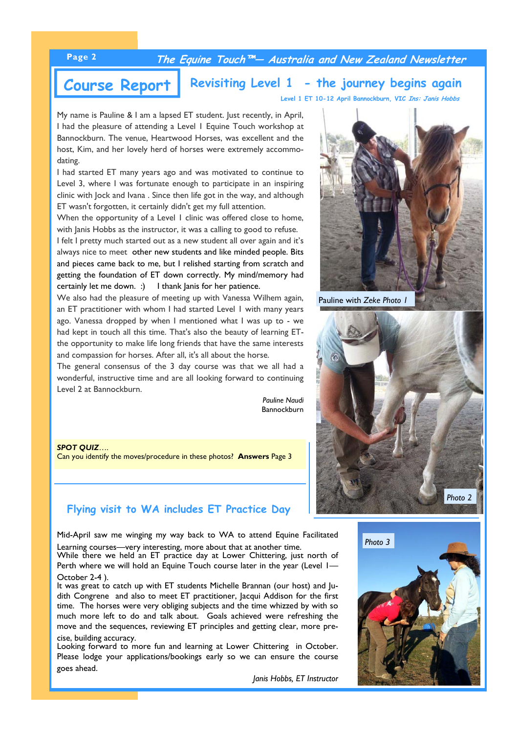### **Page 2 The Equine Touch™— Australia and New Zealand Newsletter**

**Course Report** Revisiting Level 1 - the journey begins again

**Level 1 ET 10-12 April Bannockburn, VIC Ins: Janis Hobbs**

My name is Pauline & I am a lapsed ET student. Just recently, in April, I had the pleasure of attending a Level 1 Equine Touch workshop at Bannockburn. The venue, Heartwood Horses, was excellent and the host, Kim, and her lovely herd of horses were extremely accommodating.

I had started ET many years ago and was motivated to continue to Level 3, where I was fortunate enough to participate in an inspiring clinic with Jock and Ivana . Since then life got in the way, and although ET wasn't forgotten, it certainly didn't get my full attention.

When the opportunity of a Level 1 clinic was offered close to home, with Janis Hobbs as the instructor, it was a calling to good to refuse.

I felt I pretty much started out as a new student all over again and it's always nice to meet other new students and like minded people. Bits and pieces came back to me, but I relished starting from scratch and getting the foundation of ET down correctly. My mind/memory had certainly let me down. :) I thank Janis for her patience.

We also had the pleasure of meeting up with Vanessa Wilhem again, an ET practitioner with whom I had started Level 1 with many years ago. Vanessa dropped by when I mentioned what I was up to - we had kept in touch all this time. That's also the beauty of learning ETthe opportunity to make life long friends that have the same interests and compassion for horses. After all, it's all about the horse.

The general consensus of the 3 day course was that we all had a wonderful, instructive time and are all looking forward to continuing Level 2 at Bannockburn.

> *Pauline Naudi* Bannockburn

*SPOT QUIZ*…. Can you identify the moves/procedure in these photos? **Answers** Page 3

### **Flying visit to WA includes ET Practice Day**

Mid-April saw me winging my way back to WA to attend Equine Facilitated Learning courses—very interesting, more about that at another time.

While there we held an ET practice day at Lower Chittering, just north of Perth where we will hold an Equine Touch course later in the year (Level I-October 2-4 ).

It was great to catch up with ET students Michelle Brannan (our host) and Judith Congrene and also to meet ET practitioner, Jacqui Addison for the first time. The horses were very obliging subjects and the time whizzed by with so much more left to do and talk about. Goals achieved were refreshing the move and the sequences, reviewing ET principles and getting clear, more precise, building accuracy.

Looking forward to more fun and learning at Lower Chittering in October. Please lodge your applications/bookings early so we can ensure the course goes ahead.

*Janis Hobbs, ET Instructor*



Pauline with *Zeke Photo 1* 



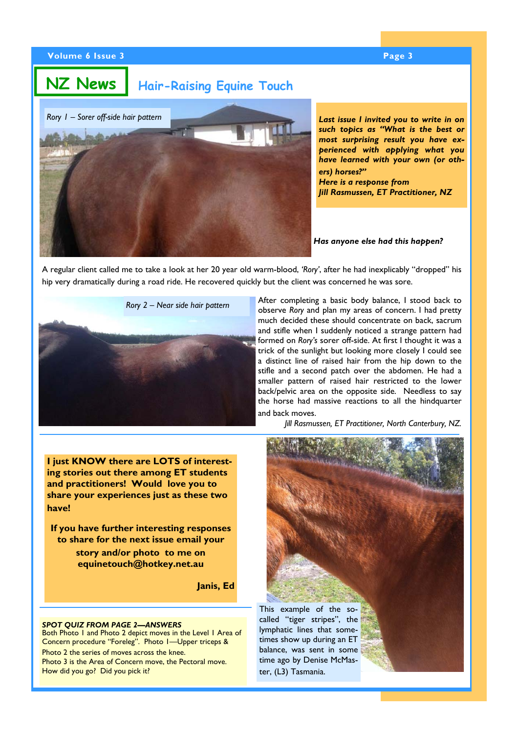**NZ News**

### **Hair-Raising Equine Touch**



*Last issue I invited you to write in on such topics as "What is the best or most surprising result you have experienced with applying what you have learned with your own (or others) horses?" Here is a response from* 

*Jill Rasmussen, ET Practitioner, NZ*

*Has anyone else had this happen?* 

A regular client called me to take a look at her 20 year old warm-blood, *'Rory'*, after he had inexplicably "dropped" his hip very dramatically during a road ride. He recovered quickly but the client was concerned he was sore.





After completing a basic body balance, I stood back to observe *Rory* and plan my areas of concern. I had pretty much decided these should concentrate on back, sacrum and stifle when I suddenly noticed a strange pattern had formed on *Rory's* sorer off-side. At first I thought it was a trick of the sunlight but looking more closely I could see a distinct line of raised hair from the hip down to the stifle and a second patch over the abdomen. He had a smaller pattern of raised hair restricted to the lower back/pelvic area on the opposite side. Needless to say the horse had massive reactions to all the hindquarter and back moves.

*Jill Rasmussen, ET Practitioner, North Canterbury, NZ.* 

**I just KNOW there are LOTS of interesting stories out there among ET students and practitioners! Would love you to share your experiences just as these two have!** 

**If you have further interesting responses to share for the next issue email your** 

> **story and/or photo to me on equinetouch@hotkey.net.au**

> > **Janis, Ed**

#### *SPOT QUIZ FROM PAGE 2—ANSWERS*

Both Photo 1 and Photo 2 depict moves in the Level 1 Area of Concern procedure "Foreleg". Photo 1—Upper triceps & Photo 2 the series of moves across the knee. Photo 3 is the Area of Concern move, the Pectoral move. How did you go? Did you pick it?



This example of the socalled "tiger stripes", the lymphatic lines that sometimes show up during an ET balance, was sent in some time ago by Denise McMaster, (L3) Tasmania.